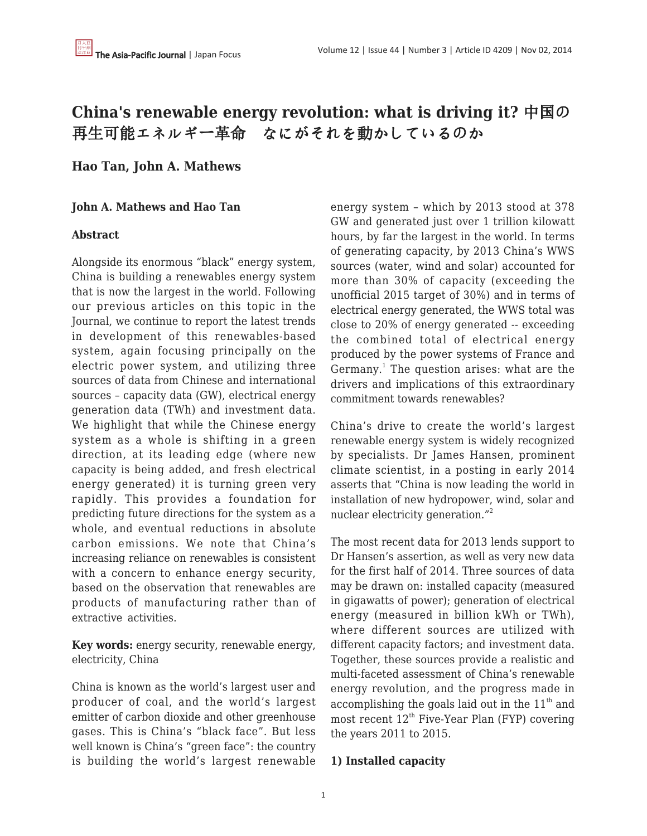# **China's renewable energy revolution: what is driving it?** 中国の 再生可能エネルギー革命 なにがそれを動かしているのか

# **Hao Tan, John A. Mathews**

### **John A. Mathews and Hao Tan**

### **Abstract**

Alongside its enormous "black" energy system, China is building a renewables energy system that is now the largest in the world. Following our previous articles on this topic in the Journal, we continue to report the latest trends in development of this renewables-based system, again focusing principally on the electric power system, and utilizing three sources of data from Chinese and international sources – capacity data (GW), electrical energy generation data (TWh) and investment data. We highlight that while the Chinese energy system as a whole is shifting in a green direction, at its leading edge (where new capacity is being added, and fresh electrical energy generated) it is turning green very rapidly. This provides a foundation for predicting future directions for the system as a whole, and eventual reductions in absolute carbon emissions. We note that China's increasing reliance on renewables is consistent with a concern to enhance energy security, based on the observation that renewables are products of manufacturing rather than of extractive activities.

**Key words:** energy security, renewable energy, electricity, China

China is known as the world's largest user and producer of coal, and the world's largest emitter of carbon dioxide and other greenhouse gases. This is China's "black face". But less well known is China's "green face": the country is building the world's largest renewable energy system – which by 2013 stood at 378 GW and generated just over 1 trillion kilowatt hours, by far the largest in the world. In terms of generating capacity, by 2013 China's WWS sources (water, wind and solar) accounted for more than 30% of capacity (exceeding the unofficial 2015 target of 30%) and in terms of electrical energy generated, the WWS total was close to 20% of energy generated -- exceeding the combined total of electrical energy produced by the power systems of France and Germany.<sup>1</sup> The question arises: what are the drivers and implications of this extraordinary commitment towards renewables?

China's drive to create the world's largest renewable energy system is widely recognized by specialists. Dr James Hansen, prominent climate scientist, in a posting in early 2014 asserts that "China is now leading the world in installation of new hydropower, wind, solar and nuclear electricity generation."<sup>2</sup>

The most recent data for 2013 lends support to Dr Hansen's assertion, as well as very new data for the first half of 2014. Three sources of data may be drawn on: installed capacity (measured in gigawatts of power); generation of electrical energy (measured in billion kWh or TWh), where different sources are utilized with different capacity factors; and investment data. Together, these sources provide a realistic and multi-faceted assessment of China's renewable energy revolution, and the progress made in accomplishing the goals laid out in the  $11<sup>th</sup>$  and most recent  $12<sup>th</sup>$  Five-Year Plan (FYP) covering the years 2011 to 2015.

### **1) Installed capacity**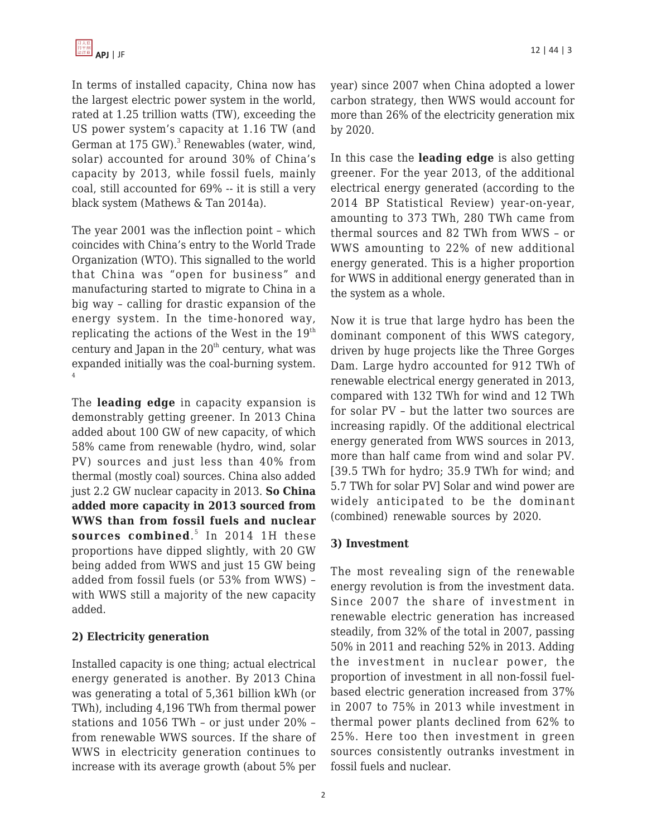In terms of installed capacity, China now has the largest electric power system in the world, rated at 1.25 trillion watts (TW), exceeding the US power system's capacity at 1.16 TW (and German at 175 GW).<sup>3</sup> Renewables (water, wind, solar) accounted for around 30% of China's capacity by 2013, while fossil fuels, mainly coal, still accounted for 69% -- it is still a very black system (Mathews & Tan 2014a).

The year 2001 was the inflection point – which coincides with China's entry to the World Trade Organization (WTO). This signalled to the world that China was "open for business" and manufacturing started to migrate to China in a big way – calling for drastic expansion of the energy system. In the time-honored way, replicating the actions of the West in the  $19<sup>th</sup>$ century and Japan in the  $20<sup>th</sup>$  century, what was expanded initially was the coal-burning system. 4

The **leading edge** in capacity expansion is demonstrably getting greener. In 2013 China added about 100 GW of new capacity, of which 58% came from renewable (hydro, wind, solar PV) sources and just less than 40% from thermal (mostly coal) sources. China also added just 2.2 GW nuclear capacity in 2013. **So China added more capacity in 2013 sourced from WWS than from fossil fuels and nuclear sources combined**. 5 In 2014 1H these proportions have dipped slightly, with 20 GW being added from WWS and just 15 GW being added from fossil fuels (or 53% from WWS) – with WWS still a majority of the new capacity added.

# **2) Electricity generation**

Installed capacity is one thing; actual electrical energy generated is another. By 2013 China was generating a total of 5,361 billion kWh (or TWh), including 4,196 TWh from thermal power stations and 1056 TWh – or just under 20% – from renewable WWS sources. If the share of WWS in electricity generation continues to increase with its average growth (about 5% per year) since 2007 when China adopted a lower carbon strategy, then WWS would account for more than 26% of the electricity generation mix by 2020.

In this case the **leading edge** is also getting greener. For the year 2013, of the additional electrical energy generated (according to the 2014 BP Statistical Review) year-on-year, amounting to 373 TWh, 280 TWh came from thermal sources and 82 TWh from WWS – or WWS amounting to 22% of new additional energy generated. This is a higher proportion for WWS in additional energy generated than in the system as a whole.

Now it is true that large hydro has been the dominant component of this WWS category, driven by huge projects like the Three Gorges Dam. Large hydro accounted for 912 TWh of renewable electrical energy generated in 2013, compared with 132 TWh for wind and 12 TWh for solar PV – but the latter two sources are increasing rapidly. Of the additional electrical energy generated from WWS sources in 2013, more than half came from wind and solar PV. [39.5 TWh for hydro; 35.9 TWh for wind; and 5.7 TWh for solar PV] Solar and wind power are widely anticipated to be the dominant (combined) renewable sources by 2020.

# **3) Investment**

The most revealing sign of the renewable energy revolution is from the investment data. Since 2007 the share of investment in renewable electric generation has increased steadily, from 32% of the total in 2007, passing 50% in 2011 and reaching 52% in 2013. Adding the investment in nuclear power, the proportion of investment in all non-fossil fuelbased electric generation increased from 37% in 2007 to 75% in 2013 while investment in thermal power plants declined from 62% to 25%. Here too then investment in green sources consistently outranks investment in fossil fuels and nuclear.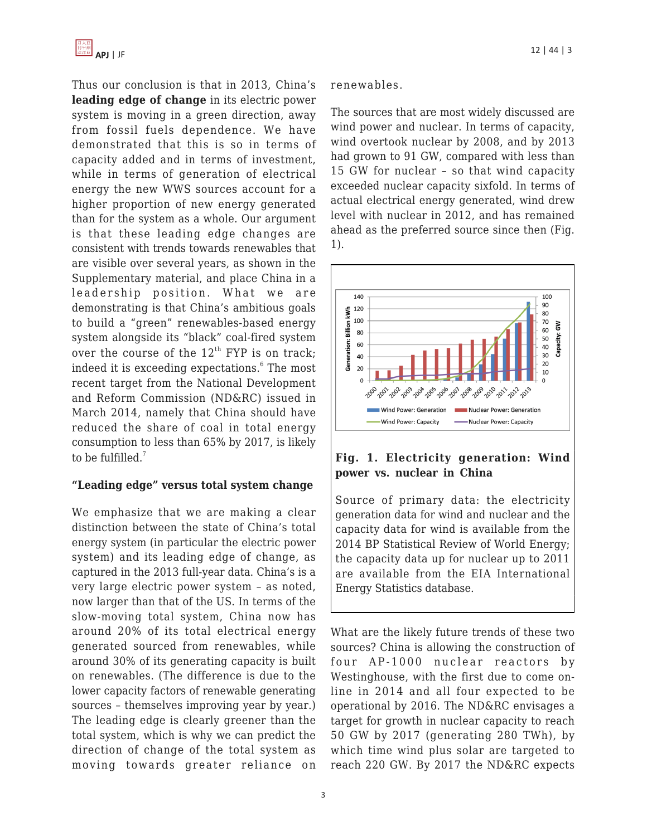Thus our conclusion is that in 2013, China's **leading edge of change** in its electric power system is moving in a green direction, away from fossil fuels dependence. We have demonstrated that this is so in terms of capacity added and in terms of investment, while in terms of generation of electrical energy the new WWS sources account for a higher proportion of new energy generated than for the system as a whole. Our argument is that these leading edge changes are consistent with trends towards renewables that are visible over several years, as shown in the Supplementary material, and place China in a leadership position. What we are demonstrating is that China's ambitious goals to build a "green" renewables-based energy system alongside its "black" coal-fired system over the course of the  $12<sup>th</sup>$  FYP is on track; indeed it is exceeding expectations.<sup>6</sup> The most recent target from the National Development and Reform Commission (ND&RC) issued in March 2014, namely that China should have reduced the share of coal in total energy consumption to less than 65% by 2017, is likely to be fulfilled. $<sup>7</sup>$ </sup>

### **"Leading edge" versus total system change**

We emphasize that we are making a clear distinction between the state of China's total energy system (in particular the electric power system) and its leading edge of change, as captured in the 2013 full-year data. China's is a very large electric power system – as noted, now larger than that of the US. In terms of the slow-moving total system, China now has around 20% of its total electrical energy generated sourced from renewables, while around 30% of its generating capacity is built on renewables. (The difference is due to the lower capacity factors of renewable generating sources – themselves improving year by year.) The leading edge is clearly greener than the total system, which is why we can predict the direction of change of the total system as moving towards greater reliance on renewables.

The sources that are most widely discussed are wind power and nuclear. In terms of capacity, wind overtook nuclear by 2008, and by 2013 had grown to 91 GW, compared with less than 15 GW for nuclear – so that wind capacity exceeded nuclear capacity sixfold. In terms of actual electrical energy generated, wind drew level with nuclear in 2012, and has remained ahead as the preferred source since then (Fig. 1).



# **Fig. 1. Electricity generation: Wind power vs. nuclear in China**

Source of primary data: the electricity generation data for wind and nuclear and the capacity data for wind is available from the 2014 BP Statistical Review of World Energy; the capacity data up for nuclear up to 2011 are available from the EIA International Energy Statistics database.

What are the likely future trends of these two sources? China is allowing the construction of four AP-1000 nuclear reactors by Westinghouse, with the first due to come online in 2014 and all four expected to be operational by 2016. The ND&RC envisages a target for growth in nuclear capacity to reach 50 GW by 2017 (generating 280 TWh), by which time wind plus solar are targeted to reach 220 GW. By 2017 the ND&RC expects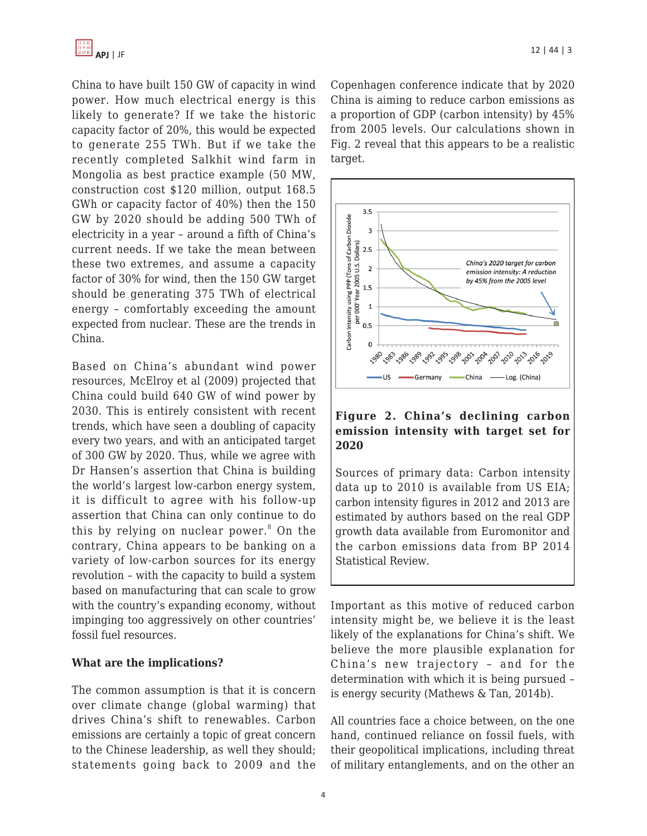China to have built 150 GW of capacity in wind power. How much electrical energy is this likely to generate? If we take the historic capacity factor of 20%, this would be expected to generate 255 TWh. But if we take the recently completed Salkhit wind farm in Mongolia as best practice example (50 MW, construction cost \$120 million, output 168.5 GWh or capacity factor of 40%) then the 150 GW by 2020 should be adding 500 TWh of electricity in a year – around a fifth of China's current needs. If we take the mean between these two extremes, and assume a capacity factor of 30% for wind, then the 150 GW target should be generating 375 TWh of electrical energy – comfortably exceeding the amount expected from nuclear. These are the trends in China.

Based on China's abundant wind power resources, McElroy et al (2009) projected that China could build 640 GW of wind power by 2030. This is entirely consistent with recent trends, which have seen a doubling of capacity every two years, and with an anticipated target of 300 GW by 2020. Thus, while we agree with Dr Hansen's assertion that China is building the world's largest low-carbon energy system, it is difficult to agree with his follow-up assertion that China can only continue to do this by relying on nuclear power.<sup>8</sup> On the contrary, China appears to be banking on a variety of low-carbon sources for its energy revolution – with the capacity to build a system based on manufacturing that can scale to grow with the country's expanding economy, without impinging too aggressively on other countries' fossil fuel resources.

### **What are the implications?**

The common assumption is that it is concern over climate change (global warming) that drives China's shift to renewables. Carbon emissions are certainly a topic of great concern to the Chinese leadership, as well they should; statements going back to 2009 and the Copenhagen conference indicate that by 2020 China is aiming to reduce carbon emissions as a proportion of GDP (carbon intensity) by 45% from 2005 levels. Our calculations shown in Fig. 2 reveal that this appears to be a realistic target.



## **Figure 2. China's declining carbon emission intensity with target set for 2020**

Sources of primary data: Carbon intensity data up to 2010 is available from US EIA; carbon intensity figures in 2012 and 2013 are estimated by authors based on the real GDP growth data available from Euromonitor and the carbon emissions data from BP 2014 Statistical Review.

Important as this motive of reduced carbon intensity might be, we believe it is the least likely of the explanations for China's shift. We believe the more plausible explanation for China's new trajectory – and for the determination with which it is being pursued – is energy security (Mathews & Tan, 2014b).

All countries face a choice between, on the one hand, continued reliance on fossil fuels, with their geopolitical implications, including threat of military entanglements, and on the other an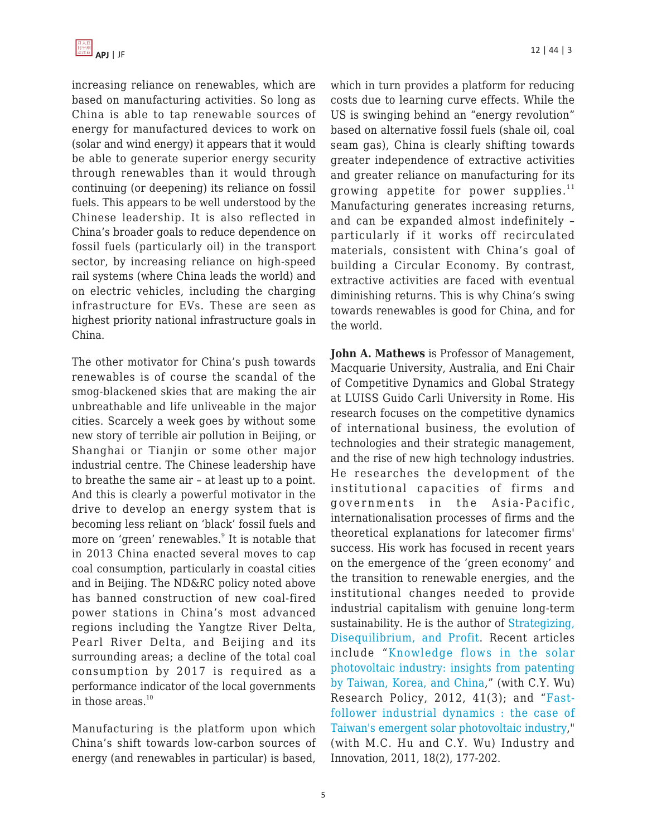increasing reliance on renewables, which are based on manufacturing activities. So long as China is able to tap renewable sources of energy for manufactured devices to work on (solar and wind energy) it appears that it would be able to generate superior energy security through renewables than it would through continuing (or deepening) its reliance on fossil fuels. This appears to be well understood by the Chinese leadership. It is also reflected in China's broader goals to reduce dependence on fossil fuels (particularly oil) in the transport sector, by increasing reliance on high-speed rail systems (where China leads the world) and on electric vehicles, including the charging infrastructure for EVs. These are seen as highest priority national infrastructure goals in China.

The other motivator for China's push towards renewables is of course the scandal of the smog-blackened skies that are making the air unbreathable and life unliveable in the major cities. Scarcely a week goes by without some new story of terrible air pollution in Beijing, or Shanghai or Tianjin or some other major industrial centre. The Chinese leadership have to breathe the same air – at least up to a point. And this is clearly a powerful motivator in the drive to develop an energy system that is becoming less reliant on 'black' fossil fuels and more on 'green' renewables.<sup>9</sup> It is notable that in 2013 China enacted several moves to cap coal consumption, particularly in coastal cities and in Beijing. The ND&RC policy noted above has banned construction of new coal-fired power stations in China's most advanced regions including the Yangtze River Delta, Pearl River Delta, and Beijing and its surrounding areas; a decline of the total coal consumption by 2017 is required as a performance indicator of the local governments in those areas. $10$ 

Manufacturing is the platform upon which China's shift towards low-carbon sources of energy (and renewables in particular) is based,

which in turn provides a platform for reducing costs due to learning curve effects. While the US is swinging behind an "energy revolution" based on alternative fossil fuels (shale oil, coal seam gas), China is clearly shifting towards greater independence of extractive activities and greater reliance on manufacturing for its growing appetite for power supplies. $11$ Manufacturing generates increasing returns, and can be expanded almost indefinitely – particularly if it works off recirculated materials, consistent with China's goal of building a Circular Economy. By contrast, extractive activities are faced with eventual diminishing returns. This is why China's swing towards renewables is good for China, and for the world.

**John A. Mathews** is Professor of Management, Macquarie University, Australia, and Eni Chair of Competitive Dynamics and Global Strategy at LUISS Guido Carli University in Rome. His research focuses on the competitive dynamics of international business, the evolution of technologies and their strategic management, and the rise of new high technology industries. He researches the development of the institutional capacities of firms and governments in the Asia-Pacific, internationalisation processes of firms and the theoretical explanations for latecomer firms' success. His work has focused in recent years on the emergence of the 'green economy' and the transition to renewable energies, and the institutional changes needed to provide industrial capitalism with genuine long-term sustainability. He is the author of [Strategizing,](http://www.amazon.com/gp/product/0804754837/?tag=theasipacjo0b-20) [Disequilibrium, and Profit.](http://www.amazon.com/gp/product/0804754837/?tag=theasipacjo0b-20) Recent articles include "[Knowledge flows in the solar](http://www.sciencedirect.com/science/article/pii/S0048733311001922) [photovoltaic industry: insights from patenting](http://www.sciencedirect.com/science/article/pii/S0048733311001922) [by Taiwan, Korea, and China,](http://www.sciencedirect.com/science/article/pii/S0048733311001922)" (with C.Y. Wu) Research Policy, 2012, 41(3); and "[Fast](http://www.tandfonline.com/doi/abs/10.1080/13662716.2011.541104#preview)[follower industrial dynamics : the case of](http://www.tandfonline.com/doi/abs/10.1080/13662716.2011.541104#preview) [Taiwan's emergent solar photovoltaic industry,](http://www.tandfonline.com/doi/abs/10.1080/13662716.2011.541104#preview)" (with M.C. Hu and C.Y. Wu) Industry and Innovation, 2011, 18(2), 177-202.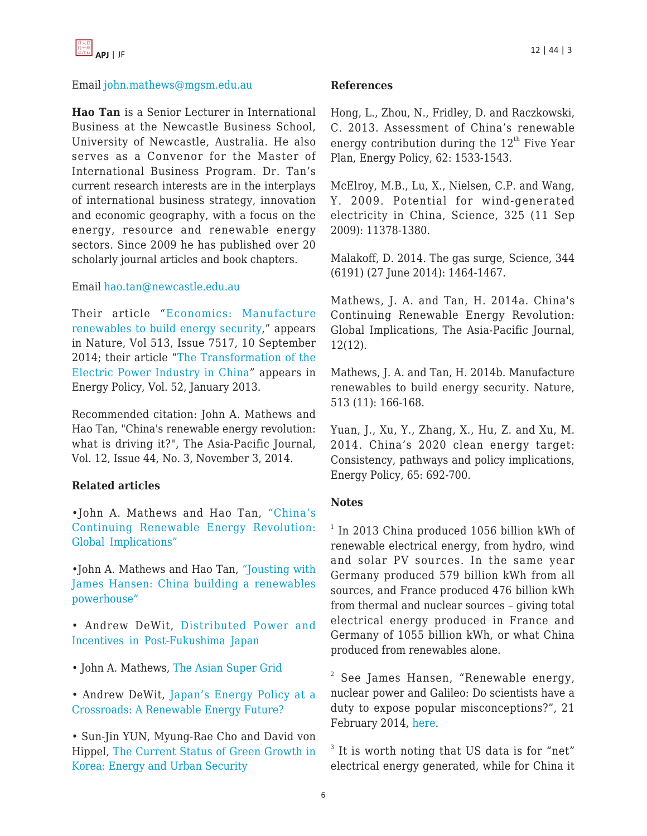

#### Email [john.mathews@mgsm.edu.au](https://apjjf.org/mailto:john.mathews@mgsm.edu.au)

**Hao Tan** is a Senior Lecturer in International Business at the Newcastle Business School, University of Newcastle, Australia. He also serves as a Convenor for the Master of International Business Program. Dr. Tan's current research interests are in the interplays of international business strategy, innovation and economic geography, with a focus on the energy, resource and renewable energy sectors. Since 2009 he has published over 20 scholarly journal articles and book chapters.

#### Email [hao.tan@newcastle.edu.au](https://apjjf.org/mailto:hao.tan@newcastle.edu.au)

Their article "[Economics: Manufacture](http://www.nature.com/news/economics-manufacture-renewables-to-build-energy-security-1.15847) [renewables to build energy security,](http://www.nature.com/news/economics-manufacture-renewables-to-build-energy-security-1.15847)" appears in Nature, Vol 513, Issue 7517, 10 September 2014; their article "[The Transformation of the](http://www.sciencedirect.com/science/article/pii/S0301421512008683) [Electric Power Industry in China](http://www.sciencedirect.com/science/article/pii/S0301421512008683)" appears in Energy Policy, Vol. 52, January 2013.

Recommended citation: John A. Mathews and Hao Tan, "China's renewable energy revolution: what is driving it?", The Asia-Pacific Journal, Vol. 12, Issue 44, No. 3, November 3, 2014.

#### **Related articles**

•John A. Mathews and Hao Tan, ["China's](https://apjjf.org/-John_A_-Mathews/4098) [Continuing Renewable Energy Revolution:](https://apjjf.org/-John_A_-Mathews/4098) [Global Implications"](https://apjjf.org/-John_A_-Mathews/4098)

•John A. Mathews and Hao Tan, ["Jousting with](https://apjjf.org/events/view/214) [James Hansen: China building a renewables](https://apjjf.org/events/view/214) [powerhouse"](https://apjjf.org/events/view/214)

- Andrew DeWit, [Distributed Power and](https://apjjf.org/-Andrew-DeWit/3861) [Incentives in Post-Fukushima Japan](https://apjjf.org/-Andrew-DeWit/3861)
- John A. Mathews, [The Asian Super Grid](https://apjjf.org/-John_A_-Mathews/3858)

• Andrew DeWit, [Japan's Energy Policy at a](https://apjjf.org/-Andrew-DeWit/3831) [Crossroads: A Renewable Energy Future?](https://apjjf.org/-Andrew-DeWit/3831)

• Sun-Jin YUN, Myung-Rae Cho and David von Hippel, [The Current Status of Green Growth in](https://apjjf.org/-Sun_Jin-YUN/3628) [Korea: Energy and Urban Security](https://apjjf.org/-Sun_Jin-YUN/3628)

#### **References**

Hong, L., Zhou, N., Fridley, D. and Raczkowski, C. 2013. Assessment of China's renewable energy contribution during the  $12<sup>th</sup>$  Five Year Plan, Energy Policy, 62: 1533-1543.

McElroy, M.B., Lu, X., Nielsen, C.P. and Wang, Y. 2009. Potential for wind-generated electricity in China, Science, 325 (11 Sep 2009): 11378-1380.

Malakoff, D. 2014. The gas surge, Science, 344 (6191) (27 June 2014): 1464-1467.

Mathews, J. A. and Tan, H. 2014a. China's Continuing Renewable Energy Revolution: Global Implications, The Asia-Pacific Journal, 12(12).

Mathews, J. A. and Tan, H. 2014b. Manufacture renewables to build energy security. Nature, 513 (11): 166-168.

Yuan, J., Xu, Y., Zhang, X., Hu, Z. and Xu, M. 2014. China's 2020 clean energy target: Consistency, pathways and policy implications, Energy Policy, 65: 692-700.

#### **Notes**

<sup>1</sup> In 2013 China produced 1056 billion kWh of renewable electrical energy, from hydro, wind and solar PV sources. In the same year Germany produced 579 billion kWh from all sources, and France produced 476 billion kWh from thermal and nuclear sources – giving total electrical energy produced in France and Germany of 1055 billion kWh, or what China produced from renewables alone.

 $2$  See James Hansen, "Renewable energy, nuclear power and Galileo: Do scientists have a duty to expose popular misconceptions?", 21 February 2014, [here](http://www.columbia.edu/~jeh1/mailings/2014/20140221_DraftOpinion.pdf).

<sup>3</sup> It is worth noting that US data is for "net" electrical energy generated, while for China it